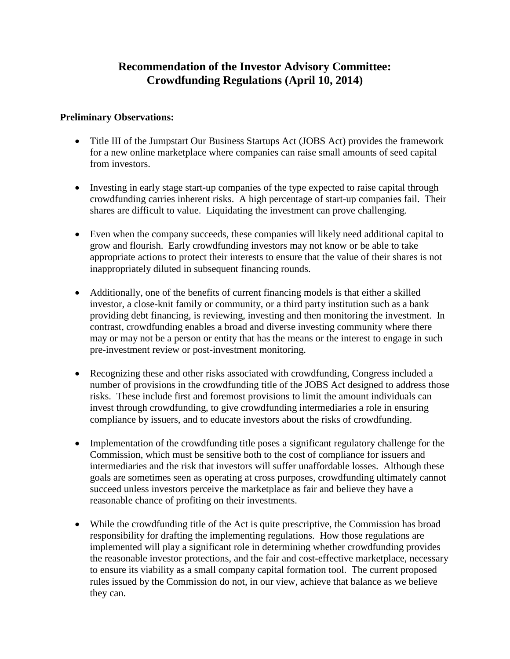# **Recommendation of the Investor Advisory Committee: Crowdfunding Regulations (April 10, 2014)**

# **Preliminary Observations:**

- Title III of the Jumpstart Our Business Startups Act (JOBS Act) provides the framework for a new online marketplace where companies can raise small amounts of seed capital from investors.
- Investing in early stage start-up companies of the type expected to raise capital through crowdfunding carries inherent risks. A high percentage of start-up companies fail. Their shares are difficult to value. Liquidating the investment can prove challenging.
- Even when the company succeeds, these companies will likely need additional capital to grow and flourish. Early crowdfunding investors may not know or be able to take appropriate actions to protect their interests to ensure that the value of their shares is not inappropriately diluted in subsequent financing rounds.
- Additionally, one of the benefits of current financing models is that either a skilled investor, a close-knit family or community, or a third party institution such as a bank providing debt financing, is reviewing, investing and then monitoring the investment. In contrast, crowdfunding enables a broad and diverse investing community where there may or may not be a person or entity that has the means or the interest to engage in such pre-investment review or post-investment monitoring.
- Recognizing these and other risks associated with crowdfunding, Congress included a number of provisions in the crowdfunding title of the JOBS Act designed to address those risks. These include first and foremost provisions to limit the amount individuals can invest through crowdfunding, to give crowdfunding intermediaries a role in ensuring compliance by issuers, and to educate investors about the risks of crowdfunding.
- Implementation of the crowdfunding title poses a significant regulatory challenge for the Commission, which must be sensitive both to the cost of compliance for issuers and intermediaries and the risk that investors will suffer unaffordable losses. Although these goals are sometimes seen as operating at cross purposes, crowdfunding ultimately cannot succeed unless investors perceive the marketplace as fair and believe they have a reasonable chance of profiting on their investments.
- While the crowdfunding title of the Act is quite prescriptive, the Commission has broad responsibility for drafting the implementing regulations. How those regulations are implemented will play a significant role in determining whether crowdfunding provides the reasonable investor protections, and the fair and cost-effective marketplace, necessary to ensure its viability as a small company capital formation tool. The current proposed rules issued by the Commission do not, in our view, achieve that balance as we believe they can.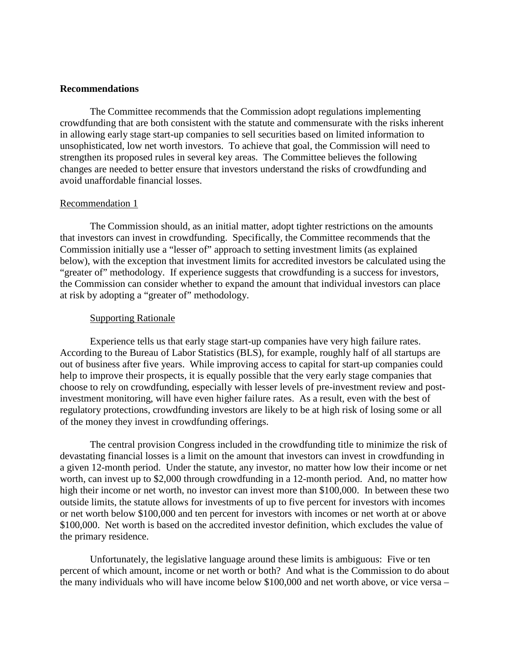## **Recommendations**

The Committee recommends that the Commission adopt regulations implementing crowdfunding that are both consistent with the statute and commensurate with the risks inherent in allowing early stage start-up companies to sell securities based on limited information to unsophisticated, low net worth investors. To achieve that goal, the Commission will need to strengthen its proposed rules in several key areas. The Committee believes the following changes are needed to better ensure that investors understand the risks of crowdfunding and avoid unaffordable financial losses.

#### Recommendation 1

The Commission should, as an initial matter, adopt tighter restrictions on the amounts that investors can invest in crowdfunding. Specifically, the Committee recommends that the Commission initially use a "lesser of" approach to setting investment limits (as explained below), with the exception that investment limits for accredited investors be calculated using the "greater of" methodology. If experience suggests that crowdfunding is a success for investors, the Commission can consider whether to expand the amount that individual investors can place at risk by adopting a "greater of" methodology.

#### Supporting Rationale

Experience tells us that early stage start-up companies have very high failure rates. According to the Bureau of Labor Statistics (BLS), for example, roughly half of all startups are out of business after five years. While improving access to capital for start-up companies could help to improve their prospects, it is equally possible that the very early stage companies that choose to rely on crowdfunding, especially with lesser levels of pre-investment review and postinvestment monitoring, will have even higher failure rates. As a result, even with the best of regulatory protections, crowdfunding investors are likely to be at high risk of losing some or all of the money they invest in crowdfunding offerings.

The central provision Congress included in the crowdfunding title to minimize the risk of devastating financial losses is a limit on the amount that investors can invest in crowdfunding in a given 12-month period. Under the statute, any investor, no matter how low their income or net worth, can invest up to \$2,000 through crowdfunding in a 12-month period. And, no matter how high their income or net worth, no investor can invest more than \$100,000. In between these two outside limits, the statute allows for investments of up to five percent for investors with incomes or net worth below \$100,000 and ten percent for investors with incomes or net worth at or above \$100,000. Net worth is based on the accredited investor definition, which excludes the value of the primary residence.

Unfortunately, the legislative language around these limits is ambiguous: Five or ten percent of which amount, income or net worth or both? And what is the Commission to do about the many individuals who will have income below \$100,000 and net worth above, or vice versa –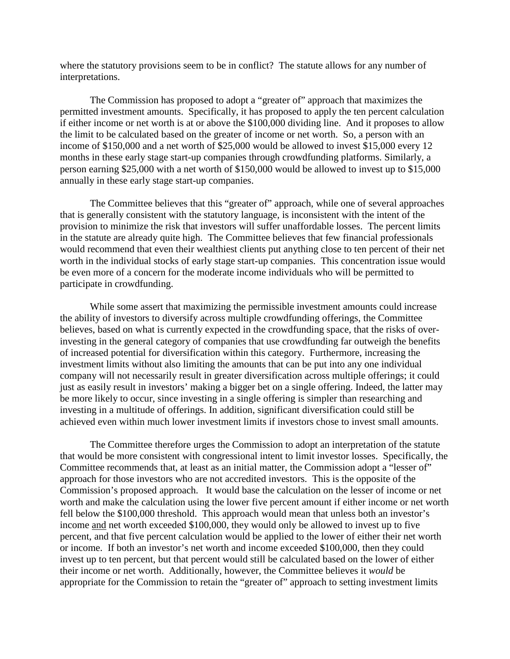where the statutory provisions seem to be in conflict? The statute allows for any number of interpretations.

The Commission has proposed to adopt a "greater of" approach that maximizes the permitted investment amounts. Specifically, it has proposed to apply the ten percent calculation if either income or net worth is at or above the \$100,000 dividing line. And it proposes to allow the limit to be calculated based on the greater of income or net worth. So, a person with an income of \$150,000 and a net worth of \$25,000 would be allowed to invest \$15,000 every 12 months in these early stage start-up companies through crowdfunding platforms. Similarly, a person earning \$25,000 with a net worth of \$150,000 would be allowed to invest up to \$15,000 annually in these early stage start-up companies.

The Committee believes that this "greater of" approach, while one of several approaches that is generally consistent with the statutory language, is inconsistent with the intent of the provision to minimize the risk that investors will suffer unaffordable losses. The percent limits in the statute are already quite high. The Committee believes that few financial professionals would recommend that even their wealthiest clients put anything close to ten percent of their net worth in the individual stocks of early stage start-up companies. This concentration issue would be even more of a concern for the moderate income individuals who will be permitted to participate in crowdfunding.

While some assert that maximizing the permissible investment amounts could increase the ability of investors to diversify across multiple crowdfunding offerings, the Committee believes, based on what is currently expected in the crowdfunding space, that the risks of overinvesting in the general category of companies that use crowdfunding far outweigh the benefits of increased potential for diversification within this category. Furthermore, increasing the investment limits without also limiting the amounts that can be put into any one individual company will not necessarily result in greater diversification across multiple offerings; it could just as easily result in investors' making a bigger bet on a single offering. Indeed, the latter may be more likely to occur, since investing in a single offering is simpler than researching and investing in a multitude of offerings. In addition, significant diversification could still be achieved even within much lower investment limits if investors chose to invest small amounts.

The Committee therefore urges the Commission to adopt an interpretation of the statute that would be more consistent with congressional intent to limit investor losses. Specifically, the Committee recommends that, at least as an initial matter, the Commission adopt a "lesser of" approach for those investors who are not accredited investors. This is the opposite of the Commission's proposed approach. It would base the calculation on the lesser of income or net worth and make the calculation using the lower five percent amount if either income or net worth fell below the \$100,000 threshold. This approach would mean that unless both an investor's income and net worth exceeded \$100,000, they would only be allowed to invest up to five percent, and that five percent calculation would be applied to the lower of either their net worth or income. If both an investor's net worth and income exceeded \$100,000, then they could invest up to ten percent, but that percent would still be calculated based on the lower of either their income or net worth. Additionally, however, the Committee believes it *would* be appropriate for the Commission to retain the "greater of" approach to setting investment limits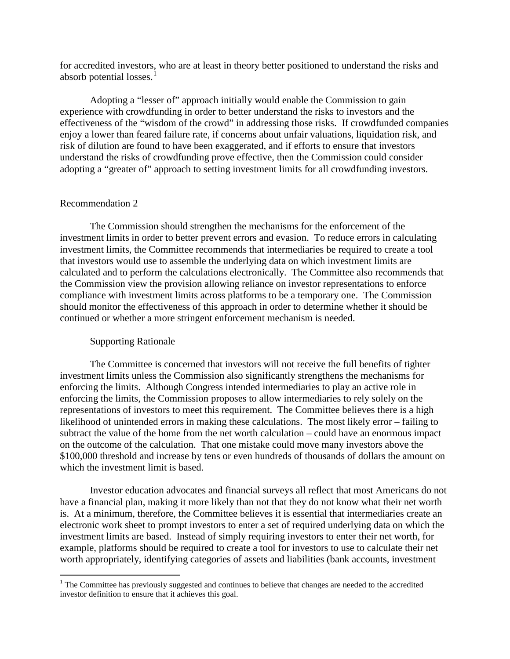for accredited investors, who are at least in theory better positioned to understand the risks and absorb potential losses.<sup>[1](#page-3-0)</sup>

Adopting a "lesser of" approach initially would enable the Commission to gain experience with crowdfunding in order to better understand the risks to investors and the effectiveness of the "wisdom of the crowd" in addressing those risks. If crowdfunded companies enjoy a lower than feared failure rate, if concerns about unfair valuations, liquidation risk, and risk of dilution are found to have been exaggerated, and if efforts to ensure that investors understand the risks of crowdfunding prove effective, then the Commission could consider adopting a "greater of" approach to setting investment limits for all crowdfunding investors.

# Recommendation 2

The Commission should strengthen the mechanisms for the enforcement of the investment limits in order to better prevent errors and evasion. To reduce errors in calculating investment limits, the Committee recommends that intermediaries be required to create a tool that investors would use to assemble the underlying data on which investment limits are calculated and to perform the calculations electronically. The Committee also recommends that the Commission view the provision allowing reliance on investor representations to enforce compliance with investment limits across platforms to be a temporary one. The Commission should monitor the effectiveness of this approach in order to determine whether it should be continued or whether a more stringent enforcement mechanism is needed.

# Supporting Rationale

The Committee is concerned that investors will not receive the full benefits of tighter investment limits unless the Commission also significantly strengthens the mechanisms for enforcing the limits. Although Congress intended intermediaries to play an active role in enforcing the limits, the Commission proposes to allow intermediaries to rely solely on the representations of investors to meet this requirement. The Committee believes there is a high likelihood of unintended errors in making these calculations. The most likely error – failing to subtract the value of the home from the net worth calculation – could have an enormous impact on the outcome of the calculation. That one mistake could move many investors above the \$100,000 threshold and increase by tens or even hundreds of thousands of dollars the amount on which the investment limit is based.

Investor education advocates and financial surveys all reflect that most Americans do not have a financial plan, making it more likely than not that they do not know what their net worth is. At a minimum, therefore, the Committee believes it is essential that intermediaries create an electronic work sheet to prompt investors to enter a set of required underlying data on which the investment limits are based. Instead of simply requiring investors to enter their net worth, for example, platforms should be required to create a tool for investors to use to calculate their net worth appropriately, identifying categories of assets and liabilities (bank accounts, investment

<span id="page-3-0"></span><sup>&</sup>lt;sup>1</sup> The Committee has previously suggested and continues to believe that changes are needed to the accredited investor definition to ensure that it achieves this goal.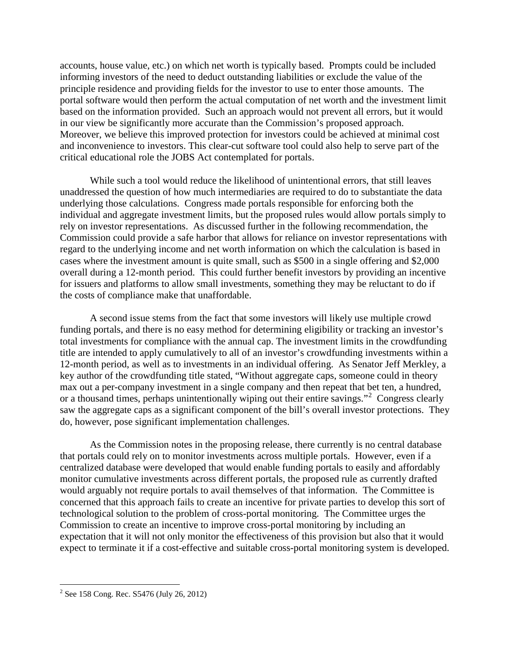accounts, house value, etc.) on which net worth is typically based. Prompts could be included informing investors of the need to deduct outstanding liabilities or exclude the value of the principle residence and providing fields for the investor to use to enter those amounts. The portal software would then perform the actual computation of net worth and the investment limit based on the information provided. Such an approach would not prevent all errors, but it would in our view be significantly more accurate than the Commission's proposed approach. Moreover, we believe this improved protection for investors could be achieved at minimal cost and inconvenience to investors. This clear-cut software tool could also help to serve part of the critical educational role the JOBS Act contemplated for portals.

While such a tool would reduce the likelihood of unintentional errors, that still leaves unaddressed the question of how much intermediaries are required to do to substantiate the data underlying those calculations. Congress made portals responsible for enforcing both the individual and aggregate investment limits, but the proposed rules would allow portals simply to rely on investor representations. As discussed further in the following recommendation, the Commission could provide a safe harbor that allows for reliance on investor representations with regard to the underlying income and net worth information on which the calculation is based in cases where the investment amount is quite small, such as \$500 in a single offering and \$2,000 overall during a 12-month period. This could further benefit investors by providing an incentive for issuers and platforms to allow small investments, something they may be reluctant to do if the costs of compliance make that unaffordable.

A second issue stems from the fact that some investors will likely use multiple crowd funding portals, and there is no easy method for determining eligibility or tracking an investor's total investments for compliance with the annual cap. The investment limits in the crowdfunding title are intended to apply cumulatively to all of an investor's crowdfunding investments within a 12-month period, as well as to investments in an individual offering. As Senator Jeff Merkley, a key author of the crowdfunding title stated, "Without aggregate caps, someone could in theory max out a per-company investment in a single company and then repeat that bet ten, a hundred, or a thousand times, perhaps unintentionally wiping out their entire savings."<sup>[2](#page-4-0)</sup> Congress clearly saw the aggregate caps as a significant component of the bill's overall investor protections. They do, however, pose significant implementation challenges.

As the Commission notes in the proposing release, there currently is no central database that portals could rely on to monitor investments across multiple portals. However, even if a centralized database were developed that would enable funding portals to easily and affordably monitor cumulative investments across different portals, the proposed rule as currently drafted would arguably not require portals to avail themselves of that information. The Committee is concerned that this approach fails to create an incentive for private parties to develop this sort of technological solution to the problem of cross-portal monitoring. The Committee urges the Commission to create an incentive to improve cross-portal monitoring by including an expectation that it will not only monitor the effectiveness of this provision but also that it would expect to terminate it if a cost-effective and suitable cross-portal monitoring system is developed.

<span id="page-4-0"></span> $2^2$  See 158 Cong. Rec. S5476 (July 26, 2012)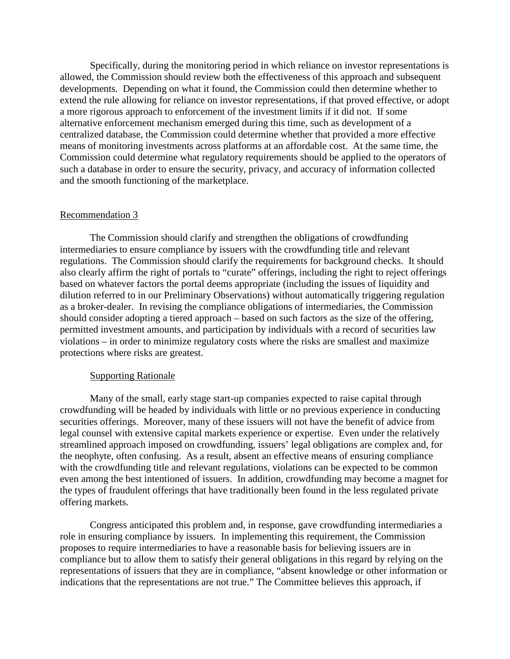Specifically, during the monitoring period in which reliance on investor representations is allowed, the Commission should review both the effectiveness of this approach and subsequent developments. Depending on what it found, the Commission could then determine whether to extend the rule allowing for reliance on investor representations, if that proved effective, or adopt a more rigorous approach to enforcement of the investment limits if it did not. If some alternative enforcement mechanism emerged during this time, such as development of a centralized database, the Commission could determine whether that provided a more effective means of monitoring investments across platforms at an affordable cost. At the same time, the Commission could determine what regulatory requirements should be applied to the operators of such a database in order to ensure the security, privacy, and accuracy of information collected and the smooth functioning of the marketplace.

#### Recommendation 3

The Commission should clarify and strengthen the obligations of crowdfunding intermediaries to ensure compliance by issuers with the crowdfunding title and relevant regulations. The Commission should clarify the requirements for background checks. It should also clearly affirm the right of portals to "curate" offerings, including the right to reject offerings based on whatever factors the portal deems appropriate (including the issues of liquidity and dilution referred to in our Preliminary Observations) without automatically triggering regulation as a broker-dealer. In revising the compliance obligations of intermediaries, the Commission should consider adopting a tiered approach – based on such factors as the size of the offering, permitted investment amounts, and participation by individuals with a record of securities law violations – in order to minimize regulatory costs where the risks are smallest and maximize protections where risks are greatest.

## Supporting Rationale

Many of the small, early stage start-up companies expected to raise capital through crowdfunding will be headed by individuals with little or no previous experience in conducting securities offerings. Moreover, many of these issuers will not have the benefit of advice from legal counsel with extensive capital markets experience or expertise. Even under the relatively streamlined approach imposed on crowdfunding, issuers' legal obligations are complex and, for the neophyte, often confusing. As a result, absent an effective means of ensuring compliance with the crowdfunding title and relevant regulations, violations can be expected to be common even among the best intentioned of issuers. In addition, crowdfunding may become a magnet for the types of fraudulent offerings that have traditionally been found in the less regulated private offering markets.

Congress anticipated this problem and, in response, gave crowdfunding intermediaries a role in ensuring compliance by issuers. In implementing this requirement, the Commission proposes to require intermediaries to have a reasonable basis for believing issuers are in compliance but to allow them to satisfy their general obligations in this regard by relying on the representations of issuers that they are in compliance, "absent knowledge or other information or indications that the representations are not true." The Committee believes this approach, if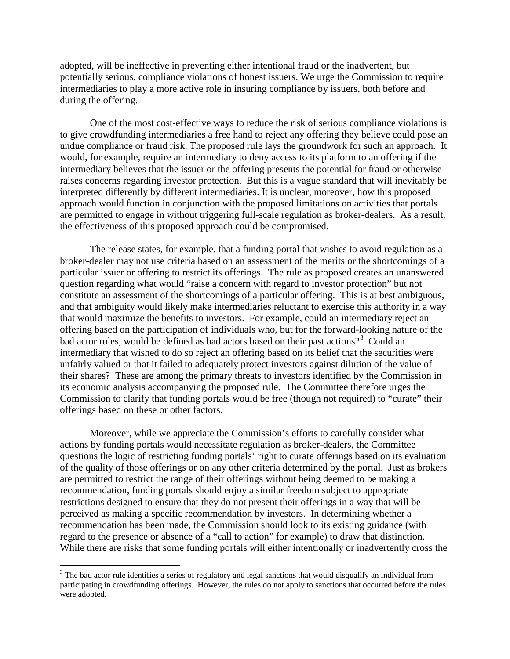adopted, will be ineffective in preventing either intentional fraud or the inadvertent, but potentially serious, compliance violations of honest issuers. We urge the Commission to require intermediaries to play a more active role in insuring compliance by issuers, both before and during the offering.

One of the most cost-effective ways to reduce the risk of serious compliance violations is to give crowdfunding intermediaries a free hand to reject any offering they believe could pose an undue compliance or fraud risk. The proposed rule lays the groundwork for such an approach. It would, for example, require an intermediary to deny access to its platform to an offering if the intermediary believes that the issuer or the offering presents the potential for fraud or otherwise raises concerns regarding investor protection. But this is a vague standard that will inevitably be interpreted differently by different intermediaries. It is unclear, moreover, how this proposed approach would function in conjunction with the proposed limitations on activities that portals are permitted to engage in without triggering full-scale regulation as broker-dealers. As a result, the effectiveness of this proposed approach could be compromised.

The release states, for example, that a funding portal that wishes to avoid regulation as a broker-dealer may not use criteria based on an assessment of the merits or the shortcomings of a particular issuer or offering to restrict its offerings. The rule as proposed creates an unanswered question regarding what would "raise a concern with regard to investor protection" but not constitute an assessment of the shortcomings of a particular offering. This is at best ambiguous, and that ambiguity would likely make intermediaries reluctant to exercise this authority in a way that would maximize the benefits to investors. For example, could an intermediary reject an offering based on the participation of individuals who, but for the forward-looking nature of the bad actor rules, would be defined as bad actors based on their past actions?<sup>[3](#page-6-0)</sup> Could an intermediary that wished to do so reject an offering based on its belief that the securities were unfairly valued or that it failed to adequately protect investors against dilution of the value of their shares? These are among the primary threats to investors identified by the Commission in its economic analysis accompanying the proposed rule. The Committee therefore urges the Commission to clarify that funding portals would be free (though not required) to "curate" their offerings based on these or other factors.

Moreover, while we appreciate the Commission's efforts to carefully consider what actions by funding portals would necessitate regulation as broker-dealers, the Committee questions the logic of restricting funding portals' right to curate offerings based on its evaluation of the quality of those offerings or on any other criteria determined by the portal. Just as brokers are permitted to restrict the range of their offerings without being deemed to be making a recommendation, funding portals should enjoy a similar freedom subject to appropriate restrictions designed to ensure that they do not present their offerings in a way that will be perceived as making a specific recommendation by investors. In determining whether a recommendation has been made, the Commission should look to its existing guidance (with regard to the presence or absence of a "call to action" for example) to draw that distinction. While there are risks that some funding portals will either intentionally or inadvertently cross the

<span id="page-6-0"></span><sup>&</sup>lt;sup>3</sup> The bad actor rule identifies a series of regulatory and legal sanctions that would disqualify an individual from participating in crowdfunding offerings. However, the rules do not apply to sanctions that occurred before the rules were adopted.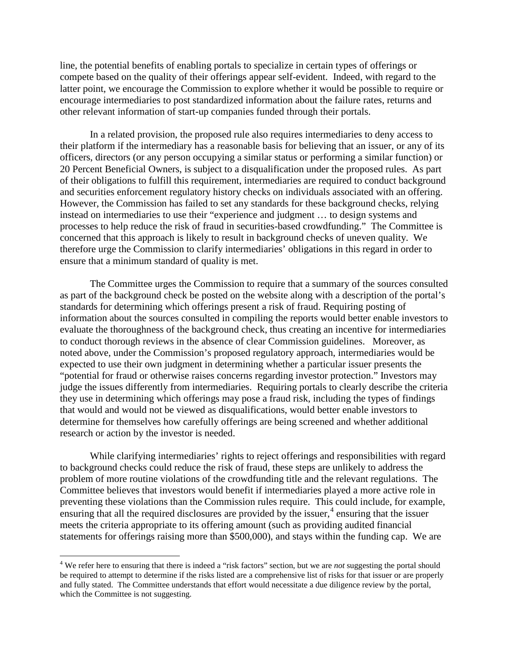line, the potential benefits of enabling portals to specialize in certain types of offerings or compete based on the quality of their offerings appear self-evident. Indeed, with regard to the latter point, we encourage the Commission to explore whether it would be possible to require or encourage intermediaries to post standardized information about the failure rates, returns and other relevant information of start-up companies funded through their portals.

In a related provision, the proposed rule also requires intermediaries to deny access to their platform if the intermediary has a reasonable basis for believing that an issuer, or any of its officers, directors (or any person occupying a similar status or performing a similar function) or 20 Percent Beneficial Owners, is subject to a disqualification under the proposed rules. As part of their obligations to fulfill this requirement, intermediaries are required to conduct background and securities enforcement regulatory history checks on individuals associated with an offering. However, the Commission has failed to set any standards for these background checks, relying instead on intermediaries to use their "experience and judgment … to design systems and processes to help reduce the risk of fraud in securities-based crowdfunding." The Committee is concerned that this approach is likely to result in background checks of uneven quality. We therefore urge the Commission to clarify intermediaries' obligations in this regard in order to ensure that a minimum standard of quality is met.

The Committee urges the Commission to require that a summary of the sources consulted as part of the background check be posted on the website along with a description of the portal's standards for determining which offerings present a risk of fraud. Requiring posting of information about the sources consulted in compiling the reports would better enable investors to evaluate the thoroughness of the background check, thus creating an incentive for intermediaries to conduct thorough reviews in the absence of clear Commission guidelines. Moreover, as noted above, under the Commission's proposed regulatory approach, intermediaries would be expected to use their own judgment in determining whether a particular issuer presents the "potential for fraud or otherwise raises concerns regarding investor protection." Investors may judge the issues differently from intermediaries. Requiring portals to clearly describe the criteria they use in determining which offerings may pose a fraud risk, including the types of findings that would and would not be viewed as disqualifications, would better enable investors to determine for themselves how carefully offerings are being screened and whether additional research or action by the investor is needed.

While clarifying intermediaries' rights to reject offerings and responsibilities with regard to background checks could reduce the risk of fraud, these steps are unlikely to address the problem of more routine violations of the crowdfunding title and the relevant regulations. The Committee believes that investors would benefit if intermediaries played a more active role in preventing these violations than the Commission rules require. This could include, for example, ensuring that all the required disclosures are provided by the issuer,  $\alpha$  ensuring that the issuer meets the criteria appropriate to its offering amount (such as providing audited financial statements for offerings raising more than \$500,000), and stays within the funding cap. We are

<span id="page-7-0"></span> <sup>4</sup> We refer here to ensuring that there is indeed a "risk factors" section, but we are *not* suggesting the portal should be required to attempt to determine if the risks listed are a comprehensive list of risks for that issuer or are properly and fully stated. The Committee understands that effort would necessitate a due diligence review by the portal, which the Committee is not suggesting.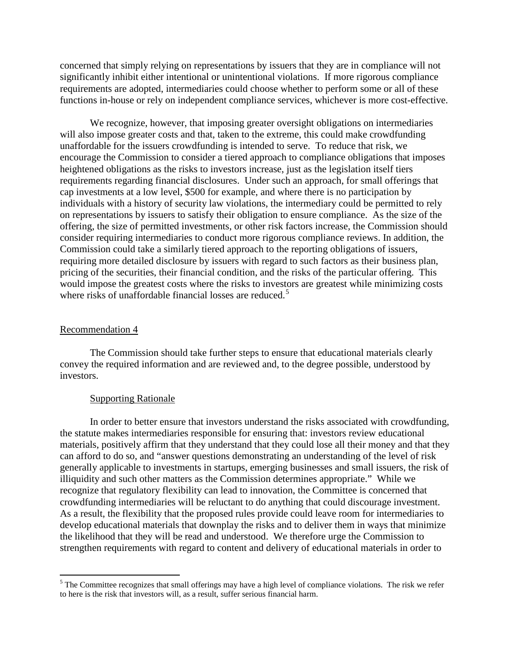concerned that simply relying on representations by issuers that they are in compliance will not significantly inhibit either intentional or unintentional violations. If more rigorous compliance requirements are adopted, intermediaries could choose whether to perform some or all of these functions in-house or rely on independent compliance services, whichever is more cost-effective.

We recognize, however, that imposing greater oversight obligations on intermediaries will also impose greater costs and that, taken to the extreme, this could make crowdfunding unaffordable for the issuers crowdfunding is intended to serve. To reduce that risk, we encourage the Commission to consider a tiered approach to compliance obligations that imposes heightened obligations as the risks to investors increase, just as the legislation itself tiers requirements regarding financial disclosures. Under such an approach, for small offerings that cap investments at a low level, \$500 for example, and where there is no participation by individuals with a history of security law violations, the intermediary could be permitted to rely on representations by issuers to satisfy their obligation to ensure compliance. As the size of the offering, the size of permitted investments, or other risk factors increase, the Commission should consider requiring intermediaries to conduct more rigorous compliance reviews. In addition, the Commission could take a similarly tiered approach to the reporting obligations of issuers, requiring more detailed disclosure by issuers with regard to such factors as their business plan, pricing of the securities, their financial condition, and the risks of the particular offering. This would impose the greatest costs where the risks to investors are greatest while minimizing costs where risks of unaffordable financial losses are reduced.<sup>[5](#page-8-0)</sup>

#### Recommendation 4

The Commission should take further steps to ensure that educational materials clearly convey the required information and are reviewed and, to the degree possible, understood by investors.

#### Supporting Rationale

In order to better ensure that investors understand the risks associated with crowdfunding, the statute makes intermediaries responsible for ensuring that: investors review educational materials, positively affirm that they understand that they could lose all their money and that they can afford to do so, and "answer questions demonstrating an understanding of the level of risk generally applicable to investments in startups, emerging businesses and small issuers, the risk of illiquidity and such other matters as the Commission determines appropriate." While we recognize that regulatory flexibility can lead to innovation, the Committee is concerned that crowdfunding intermediaries will be reluctant to do anything that could discourage investment. As a result, the flexibility that the proposed rules provide could leave room for intermediaries to develop educational materials that downplay the risks and to deliver them in ways that minimize the likelihood that they will be read and understood. We therefore urge the Commission to strengthen requirements with regard to content and delivery of educational materials in order to

<span id="page-8-0"></span><sup>&</sup>lt;sup>5</sup> The Committee recognizes that small offerings may have a high level of compliance violations. The risk we refer to here is the risk that investors will, as a result, suffer serious financial harm.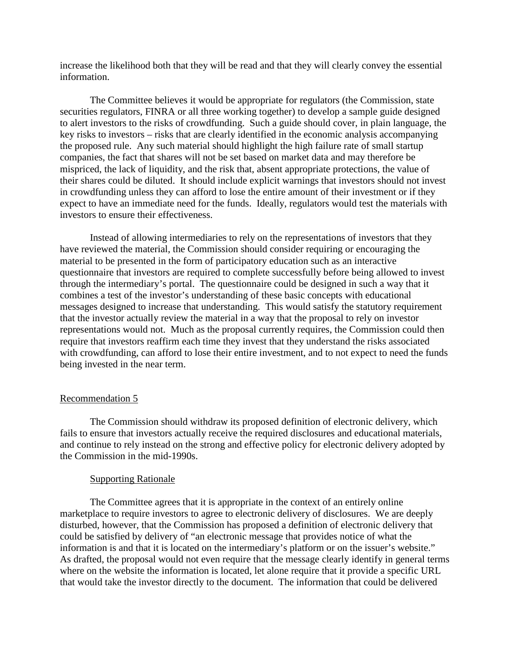increase the likelihood both that they will be read and that they will clearly convey the essential information.

The Committee believes it would be appropriate for regulators (the Commission, state securities regulators, FINRA or all three working together) to develop a sample guide designed to alert investors to the risks of crowdfunding. Such a guide should cover, in plain language, the key risks to investors – risks that are clearly identified in the economic analysis accompanying the proposed rule. Any such material should highlight the high failure rate of small startup companies, the fact that shares will not be set based on market data and may therefore be mispriced, the lack of liquidity, and the risk that, absent appropriate protections, the value of their shares could be diluted. It should include explicit warnings that investors should not invest in crowdfunding unless they can afford to lose the entire amount of their investment or if they expect to have an immediate need for the funds. Ideally, regulators would test the materials with investors to ensure their effectiveness.

Instead of allowing intermediaries to rely on the representations of investors that they have reviewed the material, the Commission should consider requiring or encouraging the material to be presented in the form of participatory education such as an interactive questionnaire that investors are required to complete successfully before being allowed to invest through the intermediary's portal. The questionnaire could be designed in such a way that it combines a test of the investor's understanding of these basic concepts with educational messages designed to increase that understanding. This would satisfy the statutory requirement that the investor actually review the material in a way that the proposal to rely on investor representations would not. Much as the proposal currently requires, the Commission could then require that investors reaffirm each time they invest that they understand the risks associated with crowdfunding, can afford to lose their entire investment, and to not expect to need the funds being invested in the near term.

## Recommendation 5

The Commission should withdraw its proposed definition of electronic delivery, which fails to ensure that investors actually receive the required disclosures and educational materials, and continue to rely instead on the strong and effective policy for electronic delivery adopted by the Commission in the mid-1990s.

## Supporting Rationale

The Committee agrees that it is appropriate in the context of an entirely online marketplace to require investors to agree to electronic delivery of disclosures. We are deeply disturbed, however, that the Commission has proposed a definition of electronic delivery that could be satisfied by delivery of "an electronic message that provides notice of what the information is and that it is located on the intermediary's platform or on the issuer's website." As drafted, the proposal would not even require that the message clearly identify in general terms where on the website the information is located, let alone require that it provide a specific URL that would take the investor directly to the document. The information that could be delivered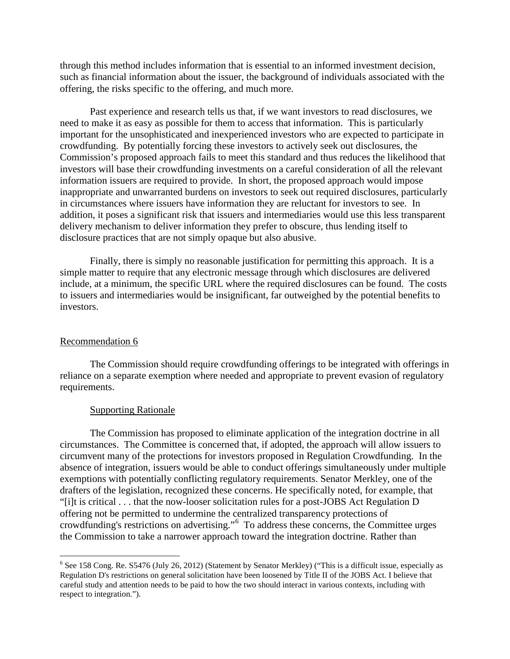through this method includes information that is essential to an informed investment decision, such as financial information about the issuer, the background of individuals associated with the offering, the risks specific to the offering, and much more.

Past experience and research tells us that, if we want investors to read disclosures, we need to make it as easy as possible for them to access that information. This is particularly important for the unsophisticated and inexperienced investors who are expected to participate in crowdfunding. By potentially forcing these investors to actively seek out disclosures, the Commission's proposed approach fails to meet this standard and thus reduces the likelihood that investors will base their crowdfunding investments on a careful consideration of all the relevant information issuers are required to provide. In short, the proposed approach would impose inappropriate and unwarranted burdens on investors to seek out required disclosures, particularly in circumstances where issuers have information they are reluctant for investors to see. In addition, it poses a significant risk that issuers and intermediaries would use this less transparent delivery mechanism to deliver information they prefer to obscure, thus lending itself to disclosure practices that are not simply opaque but also abusive.

Finally, there is simply no reasonable justification for permitting this approach. It is a simple matter to require that any electronic message through which disclosures are delivered include, at a minimum, the specific URL where the required disclosures can be found. The costs to issuers and intermediaries would be insignificant, far outweighed by the potential benefits to investors.

## Recommendation 6

The Commission should require crowdfunding offerings to be integrated with offerings in reliance on a separate exemption where needed and appropriate to prevent evasion of regulatory requirements.

# Supporting Rationale

The Commission has proposed to eliminate application of the integration doctrine in all circumstances. The Committee is concerned that, if adopted, the approach will allow issuers to circumvent many of the protections for investors proposed in Regulation Crowdfunding. In the absence of integration, issuers would be able to conduct offerings simultaneously under multiple exemptions with potentially conflicting regulatory requirements. Senator Merkley, one of the drafters of the legislation, recognized these concerns. He specifically noted, for example, that "[i]t is critical . . . that the now-looser solicitation rules for a post-JOBS Act Regulation D offering not be permitted to undermine the centralized transparency protections of crowdfunding's restrictions on advertising."[6](#page-10-0) To address these concerns, the Committee urges the Commission to take a narrower approach toward the integration doctrine. Rather than

<span id="page-10-0"></span><sup>&</sup>lt;sup>6</sup> See 158 Cong. Re. S5476 (July 26, 2012) (Statement by Senator Merkley) ("This is a difficult issue, especially as Regulation D's restrictions on general solicitation have been loosened by Title II of the JOBS Act. I believe that careful study and attention needs to be paid to how the two should interact in various contexts, including with respect to integration.").